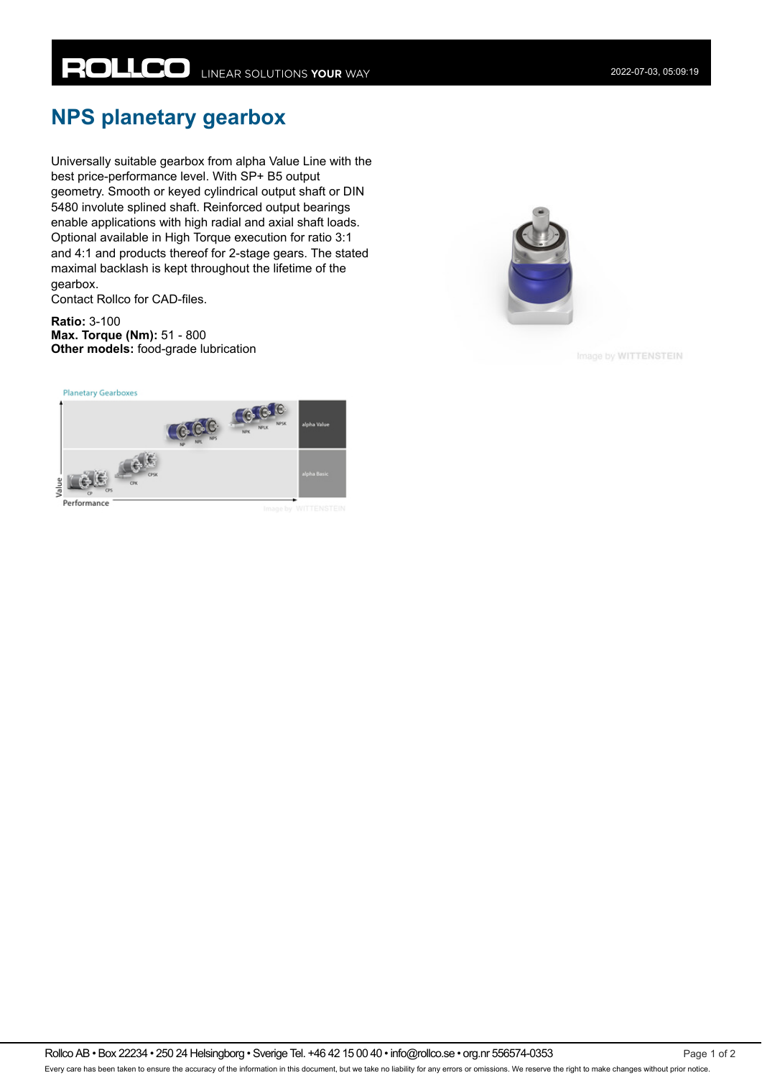## **NPS planetary gearbox**

Universally suitable gearbox from alpha Value Line with the best price-performance level. With SP+ B5 output geometry. Smooth or keyed cylindrical output shaft or DIN 5480 involute splined shaft. Reinforced output bearings enable applications with high radial and axial shaft loads. Optional available in High Torque execution for ratio 3:1 and 4:1 and products thereof for 2-stage gears. The stated maximal backlash is kept throughout the lifetime of the gearbox.

Contact Rollco for CAD-files.

**Ratio:** 3-100 **Max. Torque (Nm):** 51 - 800 **Other models:** food-grade lubrication

**Planetary Gearboxes** 





Image by WITTENSTEIN